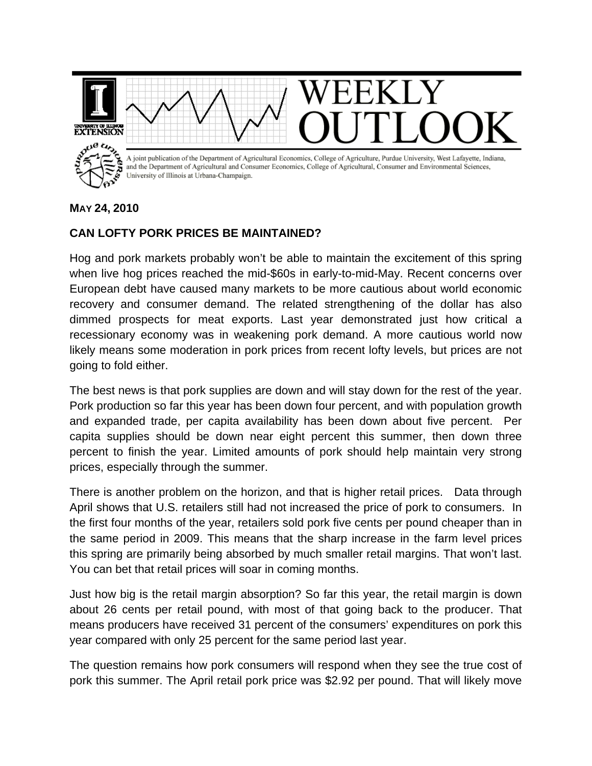

## **MAY 24, 2010**

## **CAN LOFTY PORK PRICES BE MAINTAINED?**

Hog and pork markets probably won't be able to maintain the excitement of this spring when live hog prices reached the mid-\$60s in early-to-mid-May. Recent concerns over European debt have caused many markets to be more cautious about world economic recovery and consumer demand. The related strengthening of the dollar has also dimmed prospects for meat exports. Last year demonstrated just how critical a recessionary economy was in weakening pork demand. A more cautious world now likely means some moderation in pork prices from recent lofty levels, but prices are not going to fold either.

The best news is that pork supplies are down and will stay down for the rest of the year. Pork production so far this year has been down four percent, and with population growth and expanded trade, per capita availability has been down about five percent. Per capita supplies should be down near eight percent this summer, then down three percent to finish the year. Limited amounts of pork should help maintain very strong prices, especially through the summer.

There is another problem on the horizon, and that is higher retail prices. Data through April shows that U.S. retailers still had not increased the price of pork to consumers. In the first four months of the year, retailers sold pork five cents per pound cheaper than in the same period in 2009. This means that the sharp increase in the farm level prices this spring are primarily being absorbed by much smaller retail margins. That won't last. You can bet that retail prices will soar in coming months.

Just how big is the retail margin absorption? So far this year, the retail margin is down about 26 cents per retail pound, with most of that going back to the producer. That means producers have received 31 percent of the consumers' expenditures on pork this year compared with only 25 percent for the same period last year.

The question remains how pork consumers will respond when they see the true cost of pork this summer. The April retail pork price was \$2.92 per pound. That will likely move